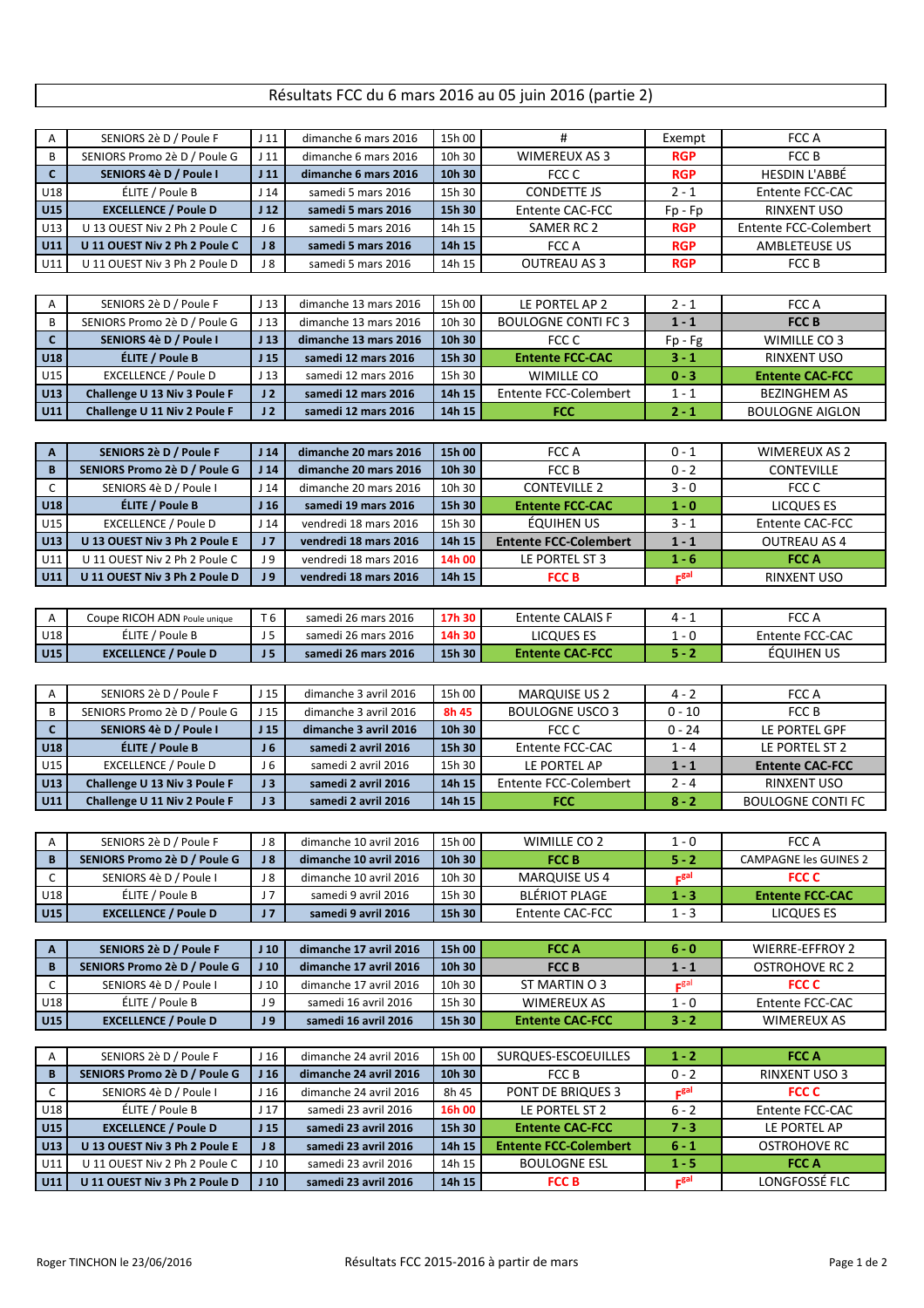## Résultats FCC du 6 mars 2016 au 05 juin 2016 (partie 2)

| Α            | SENIORS 2è D / Poule F        | J <sub>11</sub> | dimanche 6 mars 2016   | 15h 00 | #                            | Exempt           | FCC A                        |  |
|--------------|-------------------------------|-----------------|------------------------|--------|------------------------------|------------------|------------------------------|--|
| B            | SENIORS Promo 2è D / Poule G  | J <sub>11</sub> | dimanche 6 mars 2016   | 10h 30 | <b>WIMEREUX AS 3</b>         | <b>RGP</b>       | FCC B                        |  |
| $\mathbf{C}$ | SENIORS 4è D / Poule I        | J <sub>11</sub> | dimanche 6 mars 2016   | 10h 30 | FCC C                        | <b>RGP</b>       | <b>HESDIN L'ABBÉ</b>         |  |
| U18          | ÉLITE / Poule B               | J <sub>14</sub> | samedi 5 mars 2016     | 15h 30 | <b>CONDETTE JS</b>           | $2 - 1$          | Entente FCC-CAC              |  |
| <b>U15</b>   | <b>EXCELLENCE / Poule D</b>   | J <sub>12</sub> | samedi 5 mars 2016     | 15h 30 | Entente CAC-FCC              | $Fp - Fp$        | <b>RINXENT USO</b>           |  |
| U13          | U 13 OUEST Niv 2 Ph 2 Poule C | J 6             | samedi 5 mars 2016     | 14h 15 | SAMER RC 2                   | <b>RGP</b>       | Entente FCC-Colembert        |  |
| U11          | U 11 OUEST Niv 2 Ph 2 Poule C | J8              | samedi 5 mars 2016     | 14h 15 | FCC A                        | <b>RGP</b>       | <b>AMBLETEUSE US</b>         |  |
| U11          | U 11 OUEST Niv 3 Ph 2 Poule D | J8              | samedi 5 mars 2016     | 14h 15 | <b>OUTREAU AS 3</b>          | <b>RGP</b>       | FCC B                        |  |
|              |                               |                 |                        |        |                              |                  |                              |  |
| Α            | SENIORS 2è D / Poule F        | J <sub>13</sub> | dimanche 13 mars 2016  | 15h 00 | LE PORTEL AP 2               | $2 - 1$          | FCC A                        |  |
| B            | SENIORS Promo 2è D / Poule G  | J <sub>13</sub> | dimanche 13 mars 2016  | 10h 30 | <b>BOULOGNE CONTI FC 3</b>   | $1 - 1$          | <b>FCCB</b>                  |  |
| $\mathbf{C}$ | SENIORS 4è D / Poule I        | J <sub>13</sub> | dimanche 13 mars 2016  | 10h 30 | FCC C                        | Fp - Fg          | <b>WIMILLE CO 3</b>          |  |
| <b>U18</b>   | ÉLITE / Poule B               | J <sub>15</sub> | samedi 12 mars 2016    | 15h 30 | <b>Entente FCC-CAC</b>       | $3 - 1$          | <b>RINXENT USO</b>           |  |
| U15          | <b>EXCELLENCE / Poule D</b>   | J <sub>13</sub> | samedi 12 mars 2016    | 15h 30 | <b>WIMILLE CO</b>            | $0 - 3$          | <b>Entente CAC-FCC</b>       |  |
| U13          | Challenge U 13 Niv 3 Poule F  | J <sub>2</sub>  | samedi 12 mars 2016    | 14h 15 | Entente FCC-Colembert        | $1 - 1$          | <b>BEZINGHEM AS</b>          |  |
| U11          |                               | J <sub>2</sub>  | samedi 12 mars 2016    | 14h 15 | <b>FCC</b>                   | $2 - 1$          | <b>BOULOGNE AIGLON</b>       |  |
|              | Challenge U 11 Niv 2 Poule F  |                 |                        |        |                              |                  |                              |  |
|              |                               |                 |                        |        |                              |                  |                              |  |
| Α            | SENIORS 2è D / Poule F        | J <sub>14</sub> | dimanche 20 mars 2016  | 15h 00 | FCC A                        | $0 - 1$          | <b>WIMEREUX AS 2</b>         |  |
| B            | SENIORS Promo 2è D / Poule G  | J <sub>14</sub> | dimanche 20 mars 2016  | 10h 30 | FCC B                        | $0 - 2$          | <b>CONTEVILLE</b>            |  |
| $\mathsf{C}$ | SENIORS 4è D / Poule I        | J <sub>14</sub> | dimanche 20 mars 2016  | 10h 30 | <b>CONTEVILLE 2</b>          | $3 - 0$          | FCC C                        |  |
| <b>U18</b>   | ÉLITE / Poule B               | J <sub>16</sub> | samedi 19 mars 2016    | 15h 30 | <b>Entente FCC-CAC</b>       | $1 - 0$          | LICQUES ES                   |  |
| U15          | <b>EXCELLENCE / Poule D</b>   | J <sub>14</sub> | vendredi 18 mars 2016  | 15h 30 | ÉQUIHEN US                   | $3 - 1$          | <b>Entente CAC-FCC</b>       |  |
| U13          | U 13 OUEST Niv 3 Ph 2 Poule E | J <sub>7</sub>  | vendredi 18 mars 2016  | 14h 15 | <b>Entente FCC-Colembert</b> | $1 - 1$          | <b>OUTREAU AS 4</b>          |  |
| U11          | U 11 OUEST Niv 2 Ph 2 Poule C | J 9             | vendredi 18 mars 2016  | 14h 00 | LE PORTEL ST 3               | $1 - 6$          | <b>FCCA</b>                  |  |
| U11          | U 11 OUEST Niv 3 Ph 2 Poule D | J <sub>9</sub>  | vendredi 18 mars 2016  | 14h 15 | <b>FCCB</b>                  | F <sub>gal</sub> | <b>RINXENT USO</b>           |  |
|              |                               |                 |                        |        |                              |                  |                              |  |
| $\mathsf{A}$ | Coupe RICOH ADN Poule unique  | T 6             | samedi 26 mars 2016    | 17h 30 | <b>Entente CALAIS F</b>      | $4 - 1$          | FCC A                        |  |
| U18          | ÉLITE / Poule B               | J <sub>5</sub>  | samedi 26 mars 2016    | 14h 30 | LICQUES ES                   | $1 - 0$          | Entente FCC-CAC              |  |
| U15          | <b>EXCELLENCE / Poule D</b>   | J <sub>5</sub>  | samedi 26 mars 2016    | 15h 30 | <b>Entente CAC-FCC</b>       | $5 - 2$          | <b>ÉQUIHEN US</b>            |  |
|              |                               |                 |                        |        |                              |                  |                              |  |
| Α            | SENIORS 2è D / Poule F        | J <sub>15</sub> | dimanche 3 avril 2016  | 15h 00 | <b>MARQUISE US 2</b>         | $4 - 2$          | FCC A                        |  |
| B            | SENIORS Promo 2è D / Poule G  | J <sub>15</sub> | dimanche 3 avril 2016  | 8h 45  | <b>BOULOGNE USCO 3</b>       | $0 - 10$         | FCC B                        |  |
| $\mathbf{C}$ | SENIORS 4è D / Poule I        | J <sub>15</sub> | dimanche 3 avril 2016  | 10h 30 | FCC C                        | $0 - 24$         | LE PORTEL GPF                |  |
| <b>U18</b>   | ÉLITE / Poule B               | J <sub>6</sub>  | samedi 2 avril 2016    | 15h 30 | Entente FCC-CAC              | $1 - 4$          | LE PORTEL ST 2               |  |
| U15          | <b>EXCELLENCE / Poule D</b>   | J <sub>6</sub>  | samedi 2 avril 2016    | 15h 30 | LE PORTEL AP                 | $1 - 1$          | <b>Entente CAC-FCC</b>       |  |
| <b>U13</b>   | Challenge U 13 Niv 3 Poule F  | J3              | samedi 2 avril 2016    | 14h 15 | Entente FCC-Colembert        | $2 - 4$          | <b>RINXENT USO</b>           |  |
| U11          | Challenge U 11 Niv 2 Poule F  | J3              | samedi 2 avril 2016    | 14h 15 | <b>FCC</b>                   | $8 - 2$          | <b>BOULOGNE CONTI FC</b>     |  |
|              |                               |                 |                        |        |                              |                  |                              |  |
|              |                               |                 |                        |        |                              |                  |                              |  |
| Α            | SENIORS 2è D / Poule F        | J 8             | dimanche 10 avril 2016 | 15h 00 | <b>WIMILLE CO 2</b>          | $1 - 0$          | FCC A                        |  |
| B            | SENIORS Promo 2è D / Poule G  | J8              | dimanche 10 avril 2016 | 10h 30 | <b>FCCB</b>                  | $5 - 2$          | <b>CAMPAGNE les GUINES 2</b> |  |
| C            | SENIORS 4è D / Poule I        | J8              | dimanche 10 avril 2016 | 10h 30 | <b>MARQUISE US 4</b>         | F <sub>gal</sub> | FCC C                        |  |
| U18          | ÉLITE / Poule B               | J <sub>7</sub>  | samedi 9 avril 2016    | 15h 30 | <b>BLÉRIOT PLAGE</b>         | $1 - 3$          | <b>Entente FCC-CAC</b>       |  |
| U15          | <b>EXCELLENCE / Poule D</b>   | J <sub>7</sub>  | samedi 9 avril 2016    | 15h 30 | Entente CAC-FCC              | $1 - 3$          | LICQUES ES                   |  |
|              |                               |                 |                        |        |                              |                  |                              |  |
| Α            | SENIORS 2è D / Poule F        | J <sub>10</sub> | dimanche 17 avril 2016 | 15h 00 | <b>FCCA</b>                  | $6 - 0$          | WIERRE-EFFROY 2              |  |
| B            | SENIORS Promo 2è D / Poule G  | J <sub>10</sub> | dimanche 17 avril 2016 | 10h 30 | <b>FCCB</b>                  | $1 - 1$          | <b>OSTROHOVE RC 2</b>        |  |
| C            | SENIORS 4è D / Poule I        | J <sub>10</sub> | dimanche 17 avril 2016 | 10h 30 | ST MARTIN O 3                | F <sup>gal</sup> | <b>FCC C</b>                 |  |
| U18          | ÉLITE / Poule B               | J 9             | samedi 16 avril 2016   | 15h 30 | <b>WIMEREUX AS</b>           | $1 - 0$          | Entente FCC-CAC              |  |
| U15          | <b>EXCELLENCE / Poule D</b>   | J 9             | samedi 16 avril 2016   | 15h 30 | <b>Entente CAC-FCC</b>       | $3 - 2$          | <b>WIMEREUX AS</b>           |  |
|              |                               |                 |                        |        |                              |                  |                              |  |
| A            | SENIORS 2è D / Poule F        | J <sub>16</sub> | dimanche 24 avril 2016 | 15h 00 | SURQUES-ESCOEUILLES          | $1 - 2$          | <b>FCCA</b>                  |  |
| B            | SENIORS Promo 2è D / Poule G  | J <sub>16</sub> | dimanche 24 avril 2016 | 10h 30 | FCC B                        | $0 - 2$          | RINXENT USO 3                |  |
| C            | SENIORS 4è D / Poule I        | J <sub>16</sub> | dimanche 24 avril 2016 | 8h 45  | PONT DE BRIQUES 3            | $E^{\text{gal}}$ | FCC C                        |  |
| U18          | ÉLITE / Poule B               | J <sub>17</sub> | samedi 23 avril 2016   | 16h 00 | LE PORTEL ST 2               | 6 - 2            | Entente FCC-CAC              |  |
| U15          | <b>EXCELLENCE / Poule D</b>   | J <sub>15</sub> | samedi 23 avril 2016   | 15h 30 | <b>Entente CAC-FCC</b>       | $7 - 3$          | LE PORTEL AP                 |  |
| U13          | U 13 OUEST Niv 3 Ph 2 Poule E | J8              | samedi 23 avril 2016   | 14h 15 | <b>Entente FCC-Colembert</b> | $6 - 1$          | OSTROHOVE RC                 |  |
| U11          | U 11 OUEST Niv 2 Ph 2 Poule C | J <sub>10</sub> | samedi 23 avril 2016   | 14h 15 | <b>BOULOGNE ESL</b>          | $1 - 5$          | FCC A                        |  |
| U11          | U 11 OUEST Niv 3 Ph 2 Poule D | J <sub>10</sub> | samedi 23 avril 2016   | 14h 15 | <b>FCCB</b>                  | F <sub>gal</sub> | LONGFOSSÉ FLC                |  |
|              |                               |                 |                        |        |                              |                  |                              |  |